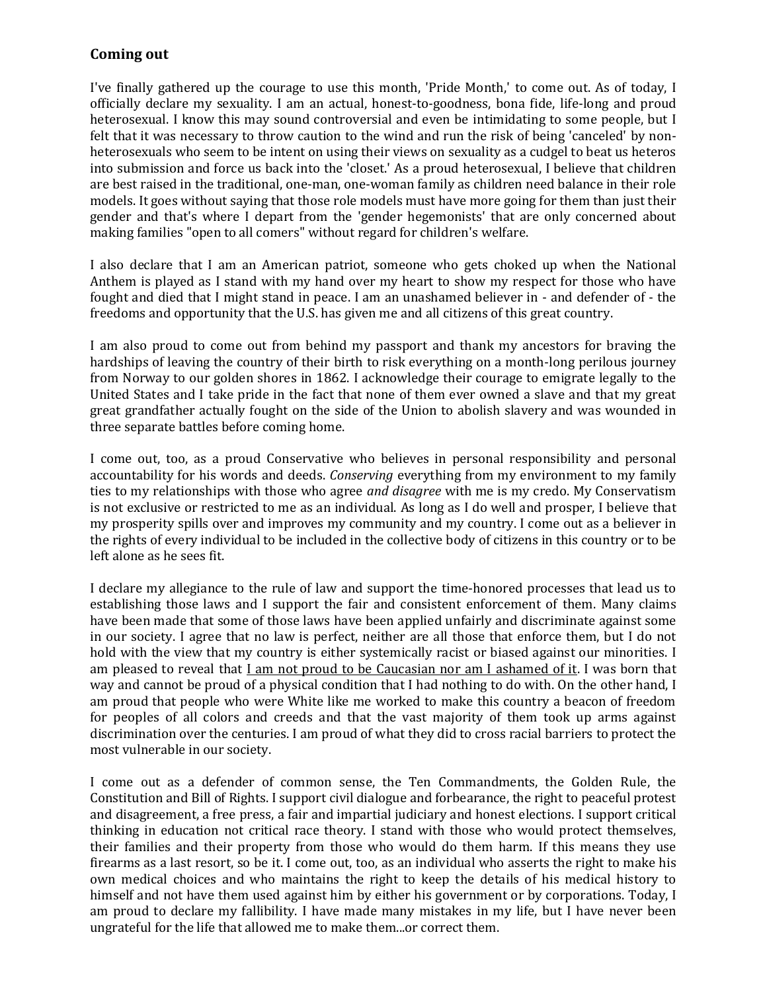## **Coming out**

I've finally gathered up the courage to use this month, 'Pride Month,' to come out. As of today, I officially declare my sexuality. I am an actual, honest-to-goodness, bona fide, life-long and proud heterosexual. I know this may sound controversial and even be intimidating to some people, but I felt that it was necessary to throw caution to the wind and run the risk of being 'canceled' by nonheterosexuals who seem to be intent on using their views on sexuality as a cudgel to beat us heteros into submission and force us back into the 'closet.' As a proud heterosexual, I believe that children are best raised in the traditional, one-man, one-woman family as children need balance in their role models. It goes without saying that those role models must have more going for them than just their gender and that's where I depart from the 'gender hegemonists' that are only concerned about making families "open to all comers" without regard for children's welfare.

I also declare that I am an American patriot, someone who gets choked up when the National Anthem is played as I stand with my hand over my heart to show my respect for those who have fought and died that I might stand in peace. I am an unashamed believer in - and defender of - the freedoms and opportunity that the U.S. has given me and all citizens of this great country.

I am also proud to come out from behind my passport and thank my ancestors for braving the hardships of leaving the country of their birth to risk everything on a month-long perilous journey from Norway to our golden shores in 1862. I acknowledge their courage to emigrate legally to the United States and I take pride in the fact that none of them ever owned a slave and that my great great grandfather actually fought on the side of the Union to abolish slavery and was wounded in three separate battles before coming home.

I come out, too, as a proud Conservative who believes in personal responsibility and personal accountability for his words and deeds. *Conserving* everything from my environment to my family ties to my relationships with those who agree *and disagree* with me is my credo. My Conservatism is not exclusive or restricted to me as an individual. As long as I do well and prosper, I believe that my prosperity spills over and improves my community and my country. I come out as a believer in the rights of every individual to be included in the collective body of citizens in this country or to be left alone as he sees fit.

I declare my allegiance to the rule of law and support the time-honored processes that lead us to establishing those laws and I support the fair and consistent enforcement of them. Many claims have been made that some of those laws have been applied unfairly and discriminate against some in our society. I agree that no law is perfect, neither are all those that enforce them, but I do not hold with the view that my country is either systemically racist or biased against our minorities. I am pleased to reveal that I am not proud to be Caucasian nor am I ashamed of it. I was born that way and cannot be proud of a physical condition that I had nothing to do with. On the other hand, I am proud that people who were White like me worked to make this country a beacon of freedom for peoples of all colors and creeds and that the vast majority of them took up arms against discrimination over the centuries. I am proud of what they did to cross racial barriers to protect the most vulnerable in our society.

I come out as a defender of common sense, the Ten Commandments, the Golden Rule, the Constitution and Bill of Rights. I support civil dialogue and forbearance, the right to peaceful protest and disagreement, a free press, a fair and impartial judiciary and honest elections. I support critical thinking in education not critical race theory. I stand with those who would protect themselves, their families and their property from those who would do them harm. If this means they use firearms as a last resort, so be it. I come out, too, as an individual who asserts the right to make his own medical choices and who maintains the right to keep the details of his medical history to himself and not have them used against him by either his government or by corporations. Today, I am proud to declare my fallibility. I have made many mistakes in my life, but I have never been ungrateful for the life that allowed me to make them...or correct them.